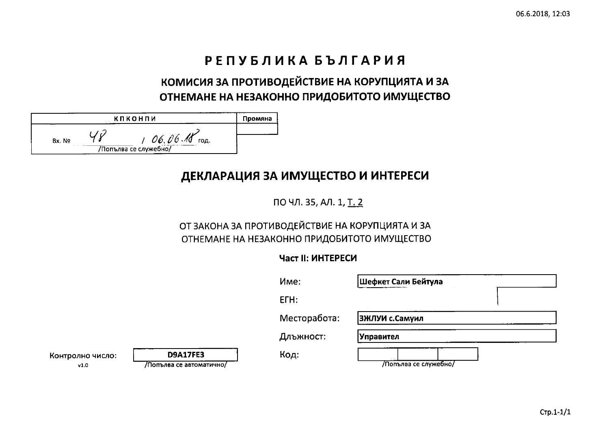# РЕПУБЛИКА БЪЛГАРИЯ

# КОМИСИЯ ЗА ПРОТИВОДЕЙСТВИЕ НА КОРУПЦИЯТА И ЗА ОТНЕМАНЕ НА НЕЗАКОННО ПРИДОБИТОТО ИМУЩЕСТВО

|        | КПКОНПИ                                   | Промяна |
|--------|-------------------------------------------|---------|
| Bx. No | 06,06.15<br>год.<br>/Попълва се служебно/ |         |

## ДЕКЛАРАЦИЯ ЗА ИМУЩЕСТВО И ИНТЕРЕСИ

ПО ЧЛ. 35, АЛ. 1, Т. 2

### ОТ ЗАКОНА ЗА ПРОТИВОДЕЙСТВИЕ НА КОРУПЦИЯТА И ЗА ОТНЕМАНЕ НА НЕЗАКОННО ПРИДОБИТОТО ИМУЩЕСТВО

### Част II: ИНТЕРЕСИ

|                          |                                             | Mme:         | Шефкет Сали Бейтула   |  |
|--------------------------|---------------------------------------------|--------------|-----------------------|--|
|                          |                                             | ETH:         |                       |  |
|                          |                                             | Месторабота: | <b>ВЖЛУИ с.Самуил</b> |  |
|                          |                                             | Длъжност:    | Управител             |  |
| Контролно число:<br>v1.0 | <b>D9A17FE3</b><br>/Попълва се автоматично/ | Код:         | /Попълва се служебно/ |  |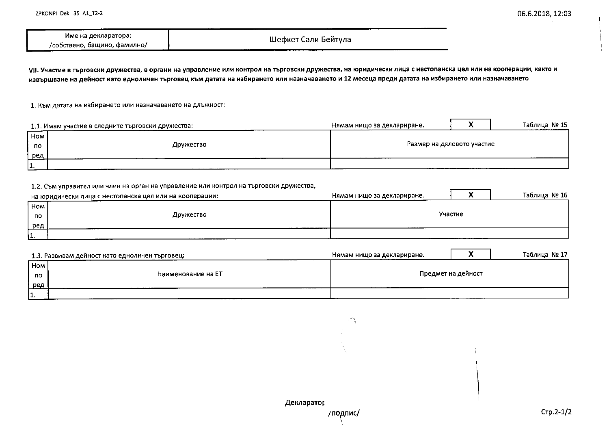| ---                          |                     |
|------------------------------|---------------------|
| Име на декларатора:          | Шефкет Сали Бейтула |
| /собствено, бащино, фамилно/ |                     |

VII. Участие в търговски дружества, в органи на управление или контрол на търговски дружества, на юридически лица с нестопанска цел или на кооперации, както и извършване на дейност като едноличен търговец към датата на избирането или назначаването и 12 месеца преди датата на избирането или назначаването

1. Към датата на избирането или назначаването на длъжност:

|     | 1.1. Имам участие в следните търговски дружества: | Нямам нищо за деклариране. | Таблица № 15 |
|-----|---------------------------------------------------|----------------------------|--------------|
| Hom |                                                   |                            |              |
| по  | Дружество                                         | Размер на дяловото участие |              |
| ред |                                                   |                            |              |
| 11. |                                                   |                            |              |

#### 1.2. Съм управител или член на орган на управление или контрол на търговски дружества,

|     | на юридически лица с нестопанска цел или на кооперации: | Нямам нищо за деклариране. |         | Таблица № 16 |
|-----|---------------------------------------------------------|----------------------------|---------|--------------|
| Hom |                                                         |                            |         |              |
| no  | Дружество                                               |                            | Участие |              |
| ред |                                                         |                            |         |              |
| ۱1. |                                                         |                            |         |              |

|     | 1.3. Развивам дейност като едноличен търговец: | Нямам нищо за деклариране. |                    | Таблица № 17 |
|-----|------------------------------------------------|----------------------------|--------------------|--------------|
| Ном |                                                |                            |                    |              |
| по  | Наименование на ЕТ                             |                            | Предмет на дейност |              |
| ред |                                                |                            |                    |              |
| 11. |                                                |                            |                    |              |

 $\curvearrowright$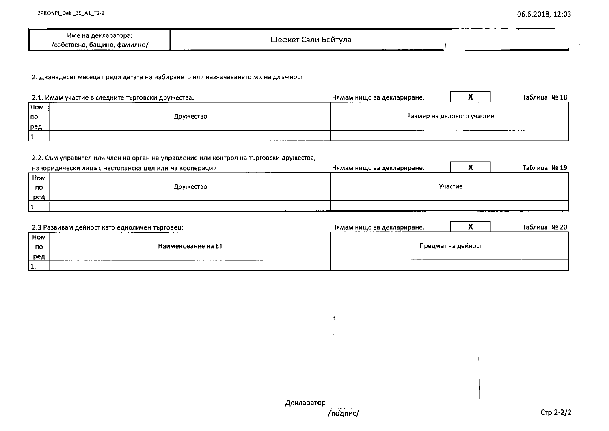|                                        |              | _______ |
|----------------------------------------|--------------|---------|
| Име на декларатора:                    | Сали Бейтула |         |
| /собствено,<br>. Фамилно/<br>. башино. | Шефкет       |         |

2. Дванадесет месеца преди датата на избирането или назначаването ми на длъжност:

|                 | 2.1. Имам участие в следните търговски дружества: | Нямам нищо за деклариране. |  | Таблица №18 |
|-----------------|---------------------------------------------------|----------------------------|--|-------------|
| Ho <sub>M</sub> |                                                   |                            |  |             |
| Ino.            | Дружество                                         | Размер на дяловото участие |  |             |
| ред             |                                                   |                            |  |             |
| 11.             |                                                   |                            |  |             |

#### 2.2. Съм управител или член на орган на управление или контрол на търговски дружества,

|            | на юридически лица с нестопанска цел или на кооперации: | Нямам нищо за деклариране. | ъ. | Таблица № 19 |
|------------|---------------------------------------------------------|----------------------------|----|--------------|
| <b>Hom</b> |                                                         |                            |    |              |
| по         | Дружество                                               | Участие                    |    |              |
| ред        |                                                         |                            |    |              |
| .          |                                                         |                            |    |              |

|         | 2.3 Развивам дейност като едноличен търговец: | Нямам нищо за деклариране. |                    | Таблица № 20 |
|---------|-----------------------------------------------|----------------------------|--------------------|--------------|
| ' Hom I |                                               |                            |                    |              |
| no.     | Наименование на ЕТ                            |                            | Предмет на дейност |              |
| ред     |                                               |                            |                    |              |
| .       |                                               |                            |                    |              |

Ą